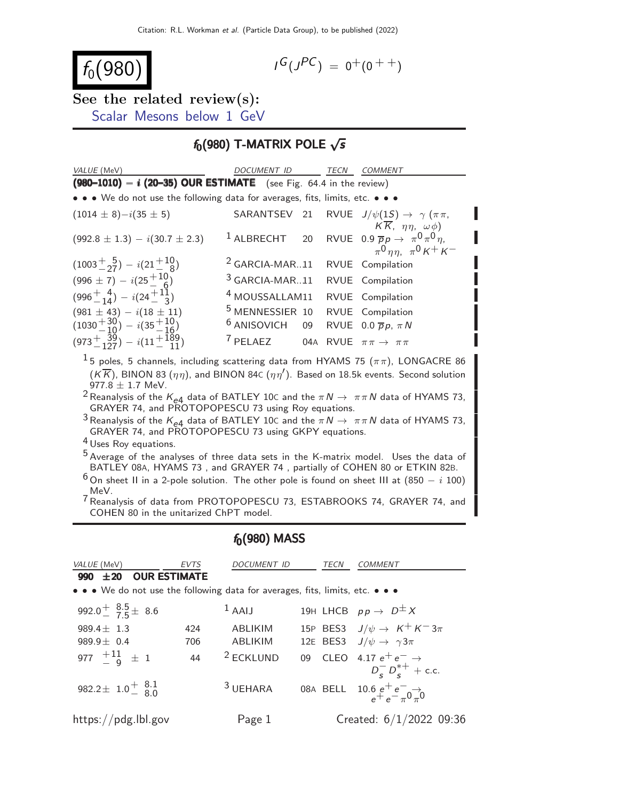$$
f_0(980)
$$

$$
I^G(J^{PC}) = 0^+(0^{++})
$$

See the related review(s): [Scalar Mesons below 1 GeV](http://pdg.lbl.gov/2022/reviews/rpp2021-rev-scalar-mesons.pdf)

### $f_0(980)$  T-MATRIX POLE  $\sqrt{s}$

| VALUE (MeV)                                                                                                                                                                                                                                                 | <b>DOCUMENT ID</b>                                         |    | TECN | COMMENT                                                                                         |
|-------------------------------------------------------------------------------------------------------------------------------------------------------------------------------------------------------------------------------------------------------------|------------------------------------------------------------|----|------|-------------------------------------------------------------------------------------------------|
| $(980-1010) - i (20-35)$ OUR ESTIMATE (see Fig. 64.4 in the review)                                                                                                                                                                                         |                                                            |    |      |                                                                                                 |
| • • • We do not use the following data for averages, fits, limits, etc. • • •                                                                                                                                                                               |                                                            |    |      |                                                                                                 |
| $(1014 \pm 8)-i(35 \pm 5)$                                                                                                                                                                                                                                  | SARANTSEV                                                  | 21 |      | RVUE $J/\psi(1S) \rightarrow \gamma (\pi \pi,$<br>$K\overline{K}$ , $\eta\eta$ , $\omega\phi$ ) |
| $(992.8 \pm 1.3) - i(30.7 \pm 2.3)$                                                                                                                                                                                                                         | $^1$ ALBRECHT                                              | 20 |      | RVUE 0.9 $\overline{p}p \rightarrow \pi^0 \pi^0 \eta$ ,<br>$\pi^0 \eta \eta$ , $\pi^0 K^+ K^-$  |
| $(1003+_{-27}) - i(21+10_{-8})$                                                                                                                                                                                                                             | $2$ GARCIA-MAR11                                           |    |      | RVUE Compilation                                                                                |
| $(996 \pm 7) - i(25 + 10)$                                                                                                                                                                                                                                  | <sup>3</sup> GARCIA-MAR11                                  |    |      | RVUE Compilation                                                                                |
| $(996^{+4}_{-14}) - i(24^{+11}_{-3})$                                                                                                                                                                                                                       | <sup>4</sup> MOUSSALLAM11                                  |    |      | RVUE Compilation                                                                                |
| $(981 \pm 43) - i(18 \pm 11)$                                                                                                                                                                                                                               | <sup>5</sup> MENNESSIER 10                                 |    |      | RVUE Compilation                                                                                |
| $(1030^{+30}_{-10}) - i(35^{+10}_{-16})$                                                                                                                                                                                                                    | $6$ ANISOVICH 09                                           |    |      | RVUE 0.0 $\overline{p}p$ , $\pi N$                                                              |
| $(973^{+}_{-127}) - i(11^{+189}_{-11})$                                                                                                                                                                                                                     | <sup>7</sup> PELAEZ 04A RVUE $\pi \pi \rightarrow \pi \pi$ |    |      |                                                                                                 |
| $^1$ 5 poles, 5 channels, including scattering data from HYAMS 75 ( $\pi\pi$ ), LONGACRE 86<br>$(\mathcal{K}\overline{\mathcal{K}})$ , BINON 83 $(\eta\eta)$ , and BINON 84C $(\eta\eta')$ . Based on 18.5k events. Second solution<br>977.8 $\pm$ 1.7 MeV. |                                                            |    |      |                                                                                                 |
| <sup>2</sup> Reanalysis of the $K_{e4}$ data of BATLEY 10C and the $\pi N \rightarrow \pi \pi N$ data of HYAMS 73,                                                                                                                                          |                                                            |    |      |                                                                                                 |
| GRAYER 74, and PROTOPOPESCU 73 using Roy equations.                                                                                                                                                                                                         |                                                            |    |      |                                                                                                 |
| <sup>3</sup> Reanalysis of the $K_{e4}$ data of BATLEY 10C and the $\pi N \to \pi \pi N$ data of HYAMS 73,<br>GRAYER 74, and PROTOPOPESCU 73 using GKPY equations.                                                                                          |                                                            |    |      |                                                                                                 |
| <sup>4</sup> Uses Roy equations.                                                                                                                                                                                                                            |                                                            |    |      |                                                                                                 |
| <sup>5</sup> Average of the analyses of three data sets in the K-matrix model. Uses the data of<br>BATLEY 08A, HYAMS 73, and GRAYER 74, partially of COHEN 80 or ETKIN 82B.                                                                                 |                                                            |    |      |                                                                                                 |
| <sup>6</sup> On sheet II in a 2-pole solution. The other pole is found on sheet III at $(850 - i 100)$                                                                                                                                                      |                                                            |    |      |                                                                                                 |
| MeV.<br><sup>7</sup> Reanalysis of data from PROTOPOPESCU 73, ESTABROOKS 74, GRAYER 74, and<br>COHEN 80 in the unitarized ChPT model.                                                                                                                       |                                                            |    |      |                                                                                                 |

# $f_0(980)$  MASS

| VALUE (MeV)                                                                   | <b>EVTS</b> | DOCUMENT ID         | <b>TECN</b> | <i>COMMENT</i>                                                      |
|-------------------------------------------------------------------------------|-------------|---------------------|-------------|---------------------------------------------------------------------|
| 990 ±20 OUR ESTIMATE                                                          |             |                     |             |                                                                     |
| • • • We do not use the following data for averages, fits, limits, etc. • • • |             |                     |             |                                                                     |
| 992.0 $^{+}$ $\frac{8.5}{7.5}$ $\pm$ 8.6                                      |             | $1$ AAIJ            |             | 19H LHCB $pp \rightarrow D^{\pm} X$                                 |
| 989.4 $\pm$ 1.3                                                               | 424         | <b>ABLIKIM</b>      |             | 15P BES3 $J/\psi \rightarrow K^+ K^- 3\pi$                          |
| 989.9 $\pm$ 0.4                                                               | 706         | <b>ABLIKIM</b>      |             | 12E BES3 $J/\psi \rightarrow \gamma 3\pi$                           |
| 977 $\frac{+11}{-9}$ $\pm$ 1                                                  | 44          | $2$ ECKLUND         |             | 09 CLEO 4.17 $e^+e^- \rightarrow$<br>$D_s^{-} D_s^{*+}$ + c.c.      |
| 982.2 ± 1.0 $^{+}_{-}$ $^{8.1}_{8.0}$                                         |             | <sup>3</sup> UEHARA |             | 08A BELL $10.6 e^{+}e^{-} \rightarrow e^{+}e^{-} \rightarrow \pi 0$ |
| https://pdg.lbl.gov                                                           |             | Page 1              |             | Created: $6/1/2022$ 09:36                                           |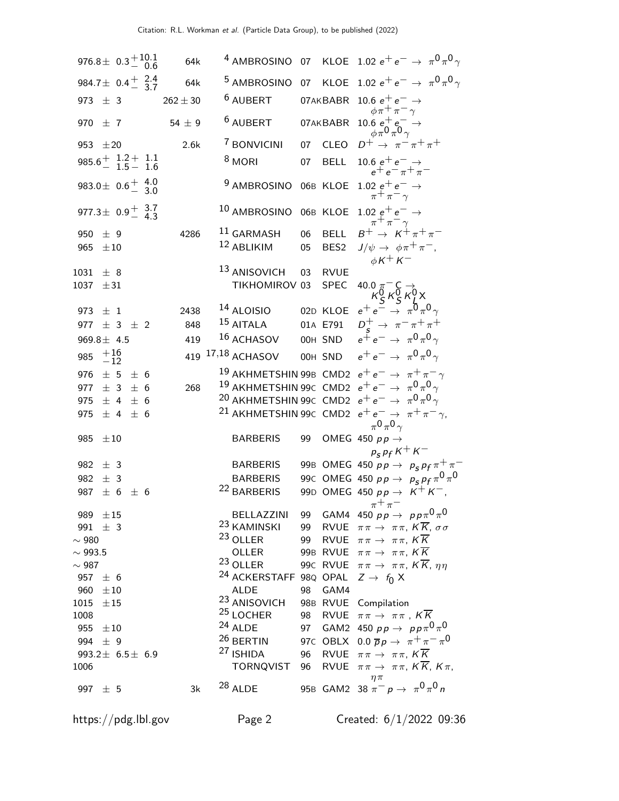| 976.8 ± $0.3 + 10.1$<br>0.6                    |                |                 |     | 64k          |                                                         |    |                  | <sup>4</sup> AMBROSINO 07 KLOE 1.02 $e^+e^- \rightarrow \pi^0 \pi^0 \gamma$                                                                                                                                                                           |
|------------------------------------------------|----------------|-----------------|-----|--------------|---------------------------------------------------------|----|------------------|-------------------------------------------------------------------------------------------------------------------------------------------------------------------------------------------------------------------------------------------------------|
| 984.7 ± $0.4 \frac{+}{-}$ $\frac{2.4}{3.7}$    |                |                 |     | 64k          |                                                         |    |                  | <sup>5</sup> AMBROSINO 07 KLOE 1.02 $e^+e^- \rightarrow \pi^0 \pi^0 \gamma$                                                                                                                                                                           |
| 973 $\pm$ 3                                    |                |                 |     | $262 \pm 30$ | <sup>6</sup> AUBERT                                     |    | 07AKBABR         | 10.6 $e^+e^- \rightarrow$<br>$\phi \pi^+ \pi^- \gamma$                                                                                                                                                                                                |
| 970 $\pm$ 7                                    |                |                 |     | 54 $\pm$ 9   | $6$ AUBERT                                              |    | 07AKBABR         | $\begin{array}{c} 10.6\ \mathrm{e}^+\mathrm{e}^- \rightarrow \\ \phi\, \pi^0\, \pi^0 \gamma \end{array}$                                                                                                                                              |
| 953 $\pm 20$                                   |                |                 |     | 2.6k         | <sup>7</sup> BONVICINI                                  |    | 07 CLEO          | $D^+ \rightarrow \pi^- \pi^+ \pi^+$                                                                                                                                                                                                                   |
| $985.6^{+}$ $1.2^{+}$ $1.1$<br>$1.5^{-}$ $1.6$ |                |                 |     |              | $8$ MORI                                                | 07 | <b>BELL</b>      | 10.6 $e^+e^- \rightarrow$<br>$e^+e^- \pi^+ \pi^-$                                                                                                                                                                                                     |
| 983.0 ± $0.6\frac{+}{-}$ $\frac{4.0}{3.0}$     |                |                 |     |              | 9 AMBROSINO 06B KLOE                                    |    |                  | $\begin{array}{c} 1.02 \text{ } e^+e^-\to\\ \pi^+\pi^-\gamma \end{array}$                                                                                                                                                                             |
| 977.3 ± $0.9^{+}$ $3.7$                        |                |                 |     |              | 10 AMBROSINO                                            |    | 06B KLOE         | 1.02 $e^+e^- \rightarrow$<br>$B^+\to K^+\pi^+\pi^-$                                                                                                                                                                                                   |
| 950                                            | $\pm$ 9        |                 |     | 4286         | $11$ GARMASH                                            | 06 | <b>BELL</b>      |                                                                                                                                                                                                                                                       |
| 965                                            | $\pm 10$       |                 |     |              | 12 ABLIKIM                                              | 05 | BES <sub>2</sub> | $J/\psi \rightarrow \phi \pi^+ \pi^-,$<br>$\phi K^+ K^-$                                                                                                                                                                                              |
| $1031 \pm 8$                                   |                |                 |     |              | <sup>13</sup> ANISOVICH                                 | 03 | <b>RVUE</b>      |                                                                                                                                                                                                                                                       |
| 1037                                           | ±31            |                 |     |              | TIKHOMIROV 03                                           |    | <b>SPEC</b>      | 40.0 $\pi$ <sup>-</sup> C $\rightarrow$<br>$\kappa$ <sup>0</sup> <sub>9</sub> $\kappa$ <sup>0</sup> <sub>9</sub> $\kappa$ <sup>0</sup> <sub>1</sub> X<br>$e$ <sup>+</sup> $e$ <sup>-</sup> $\rightarrow \pi$ <sup>0</sup> $\pi$ <sup>0</sup> $\gamma$ |
| 973 $\pm$ 1                                    |                |                 |     | 2438         | <sup>14</sup> ALOISIO                                   |    | 02D KLOE         |                                                                                                                                                                                                                                                       |
| 977 $\pm$ 3 $\pm$ 2                            |                |                 |     | 848          | $15$ AITALA                                             |    | 01A E791         | $D_c^+ \rightarrow \pi^- \pi^+ \pi^+$                                                                                                                                                                                                                 |
| $969.8 \pm 4.5$                                |                |                 |     | 419          | $16$ ACHASOV                                            |    | OOH SND          | $e^+e^- \rightarrow \pi^0 \pi^0 \gamma$                                                                                                                                                                                                               |
| 985                                            | $^{+16}_{-12}$ |                 |     |              | 419 17,18 ACHASOV                                       |    | OOH SND          | $e^+e^- \rightarrow \pi^0 \pi^0 \gamma$                                                                                                                                                                                                               |
| 976                                            |                | $\pm$ 5 $\pm$ 6 |     |              |                                                         |    |                  | <sup>19</sup> AKHMETSHIN 99B CMD2 $e^+e^- \rightarrow \pi^+\pi^-\gamma$                                                                                                                                                                               |
| 977                                            | ± 3            |                 | ± 6 | 268          |                                                         |    |                  | <sup>19</sup> AKHMETSHIN 99 $\epsilon$ CMD2 $e^+e^- \rightarrow \pi^0 \pi^0 \gamma$                                                                                                                                                                   |
| 975                                            |                | ± 4             | ± 6 |              |                                                         |    |                  | <sup>20</sup> AKHMETSHIN 99C CMD2 $e^+e^- \rightarrow \pi^0 \pi^0 \gamma$                                                                                                                                                                             |
| 975                                            | ± 4            |                 | ± 6 |              |                                                         |    |                  | <sup>21</sup> AKHMETSHIN 99C CMD2 $e^+e^- \rightarrow \pi^+\pi^-\gamma$<br>$\pi^0 \pi^0 \gamma$                                                                                                                                                       |
| 985                                            | $\pm 10$       |                 |     |              | <b>BARBERIS</b>                                         | 99 |                  | OMEG 450 $pp \rightarrow$                                                                                                                                                                                                                             |
|                                                |                |                 |     |              |                                                         |    |                  | $p_s p_f K^+ K^-$                                                                                                                                                                                                                                     |
| 982 $\pm$ 3                                    |                |                 |     |              | <b>BARBERIS</b><br><b>BARBERIS</b>                      |    |                  | 99B OMEG 450 $pp \to p_S p_f \pi^+ \pi^-$                                                                                                                                                                                                             |
| 982                                            | ± 3            |                 |     |              | <sup>22</sup> BARBERIS                                  |    |                  | 99c OMEG 450 $p p \to p_S p_f \pi^0 \pi^0$                                                                                                                                                                                                            |
| 987                                            |                | $\pm$ 6 $\pm$ 6 |     |              |                                                         |    |                  | 99D OMEG 450 $pp \rightarrow K^+ K^-$ ,<br>$\pi$ + $\pi$                                                                                                                                                                                              |
| 989 $\pm 15$                                   |                |                 |     |              |                                                         |    |                  | BELLAZZINI 99 GAM4 450 $p p \rightarrow p p \pi^0 \pi^0$                                                                                                                                                                                              |
| 991 $\pm$ 3                                    |                |                 |     |              |                                                         |    |                  | <sup>23</sup> KAMINSKI 99 RVUE $\pi \pi \rightarrow \pi \pi$ , K $\overline{K}$ , $\sigma \sigma$                                                                                                                                                     |
| $\sim$ 980                                     |                |                 |     |              | $23$ OLLER                                              |    |                  | 99 RVUE $\pi \pi \rightarrow \pi \pi$ , $K \overline{K}$                                                                                                                                                                                              |
| $\sim$ 993.5                                   |                |                 |     |              | OLLER                                                   |    |                  | 99B RVUE $\pi \pi \rightarrow \pi \pi$ , $K \overline{K}$                                                                                                                                                                                             |
| $\sim$ 987                                     |                |                 |     |              | $23$ OLLER                                              |    |                  | 990 RVUE $\pi \pi \rightarrow \pi \pi$ , $K \overline{K}$ , $\eta \eta$                                                                                                                                                                               |
| 957 $\pm$ 6                                    |                |                 |     |              | <sup>24</sup> ACKERSTAFF 98Q OPAL $Z \rightarrow f_0 X$ |    |                  |                                                                                                                                                                                                                                                       |
| 960 $\pm 10$<br>$1015 \pm 15$                  |                |                 |     |              | ALDE<br><sup>23</sup> ANISOVICH 98B RVUE Compilation    |    | 98 GAM4          |                                                                                                                                                                                                                                                       |
| 1008                                           |                |                 |     |              | <sup>25</sup> LOCHER                                    |    |                  | 98 RVUE $\pi\pi \to \pi\pi$ , $K\overline{K}$                                                                                                                                                                                                         |
| 955 $\pm 10$                                   |                |                 |     |              | $24$ ALDE                                               |    |                  | 97 GAM2 450 $p p \to p p \pi^0 \pi^0$                                                                                                                                                                                                                 |
| 994 $\pm$ 9                                    |                |                 |     |              | <sup>26</sup> BERTIN                                    |    |                  | 97C OBLX 0.0 $\overline{p} \, p \, \rightarrow \, \pi^+ \, \pi^- \, \pi^0$                                                                                                                                                                            |
| 993.2 $\pm$ 6.5 $\pm$ 6.9                      |                |                 |     |              |                                                         |    |                  | <sup>27</sup> ISHIDA 96 RVUE $\pi \pi \rightarrow \pi \pi$ , $K \overline{K}$                                                                                                                                                                         |
| 1006                                           |                |                 |     |              |                                                         |    |                  | TORNQVIST 96 RVUE $\pi \pi \rightarrow \pi \pi$ , $K \overline{K}$ , $K \pi$ ,                                                                                                                                                                        |
| 997 $\pm$ 5                                    |                |                 |     | 3k           | $28$ ALDE                                               |    |                  | $\eta \pi$<br>95B GAM2 38 $\pi^- p \to \pi^0 \pi^0 n$                                                                                                                                                                                                 |
|                                                |                |                 |     |              |                                                         |    |                  |                                                                                                                                                                                                                                                       |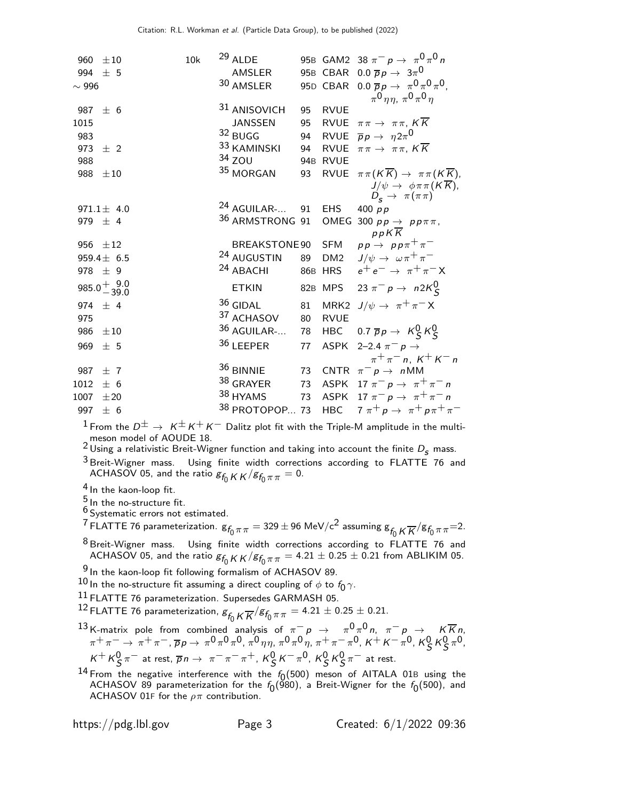|             | 960 $\pm 10$               | 10k | $29$ ALDE                  |          |             | 95B GAM2 38 $\pi^- p \to \pi^0 \pi^0 n$                                            |
|-------------|----------------------------|-----|----------------------------|----------|-------------|------------------------------------------------------------------------------------|
| 994 $\pm$ 5 |                            |     | AMSLER                     |          |             | 95B CBAR 0.0 $\overline{p}p \rightarrow 3\pi^0$                                    |
| $\sim$ 996  |                            |     | 30 AMSLER                  |          |             | 95D CBAR 0.0 $\overline{p}p \to \pi^0 \pi^0 \pi^0$ ,                               |
|             |                            |     |                            |          |             | $\pi^0$ $\eta \eta$ , $\pi^0 \pi^0 \eta$                                           |
|             | 987 $\pm$ 6                |     | 31 ANISOVICH               | 95       | <b>RVUE</b> |                                                                                    |
| 1015        |                            |     | <b>JANSSEN</b>             | 95       |             | RVUE $\pi \pi \rightarrow \pi \pi$ , $K \overline{K}$                              |
| 983         |                            |     | 32 BUGG                    | 94       |             | RVUE $\overline{p}p \rightarrow \eta 2\pi^0$                                       |
|             | 973 $\pm$ 2                |     | <sup>33</sup> KAMINSKI     | 94       |             | RVUE $\pi \pi \rightarrow \pi \pi$ , $K \overline{K}$                              |
| 988         |                            |     | $34$ ZOU                   |          | 94B RVUE    |                                                                                    |
|             | 988 $\pm 10$               |     | $35$ MORGAN                | 93       |             | RVUE $\pi \pi (K \overline{K}) \rightarrow \pi \pi (K \overline{K})$ ,             |
|             |                            |     |                            |          |             | $J/\psi \to \phi \pi \pi (K \overline{K}),$<br>$D_{\rm s} \rightarrow \pi(\pi\pi)$ |
|             | $971.1 \pm 4.0$            |     | <sup>24</sup> AGUILAR-     |          | 91 EHS      | 400 $p p$                                                                          |
|             | 979 $\pm$ 4                |     | <sup>36</sup> ARMSTRONG 91 |          |             | OMEG 300 $pp \rightarrow pp \pi \pi$ ,<br>$p p K \overline{K}$                     |
|             | 956 $\pm 12$               |     |                            |          |             | BREAKSTONE90 SFM $pp \rightarrow pp \pi^+ \pi^-$                                   |
|             | $959.4 \pm 6.5$            |     | 24 AUGUSTIN                | 89       |             | DM2 $J/\psi \rightarrow \omega \pi^+ \pi^-$                                        |
|             | 978 $\pm$ 9                |     | <sup>24</sup> ABACHI       |          |             | 86B HRS $e^+e^- \rightarrow \pi^+\pi^-X$                                           |
|             | $985.0 + \frac{9.0}{39.0}$ |     | <b>ETKIN</b>               |          |             | 82B MPS 23 $\pi^- p \to n 2K^0_S$                                                  |
|             | 974 $\pm$ 4                |     | $36$ GIDAL                 | 81       |             | MRK2 $J/\psi \rightarrow \pi^+\pi^- X$                                             |
| 975         |                            |     | 37 ACHASOV                 | 80       | <b>RVUE</b> |                                                                                    |
|             |                            |     |                            |          |             |                                                                                    |
|             | 986 $\pm 10$               |     |                            |          |             |                                                                                    |
| 969         | ±5                         |     | $36$ AGUILAR-              | 78<br>77 | HBC<br>ASPK | 0.7 $\overline{p}p \rightarrow K_S^0 K_S^0$                                        |
|             |                            |     | 36 LEEPER                  |          |             | 2–2.4 $\pi^ p \to$                                                                 |
|             | 987 $\pm$ 7                |     |                            |          |             | $\pi^{+}\pi^{-}$ n, $K^{+}K^{-}$ n<br>73 CNTR $\pi^- p \to n$ MM                   |
| 1012        | $\pm$ 6                    |     | <sup>36</sup> BINNIE       | 73       |             | ASPK 17 $\pi^ p \rightarrow \pi^+ \pi^-$ n                                         |
| 1007        | $\pm 20$                   |     | $38$ GRAYER                | 73       |             | ASPK 17 $\pi^- p \to \pi^+ \pi^- n$                                                |
| 997 $\pm 6$ |                            |     | 38 HYAMS<br>38 PROTOPOP 73 |          |             | HBC $7 \pi^+ p \rightarrow \pi^+ p \pi^+ \pi^-$                                    |

<sup>1</sup> From the  $D^{\pm}$  →  $K^{\pm}K^{+}K^{-}$  Dalitz plot fit with the Triple-M amplitude in the multimeson model of AOUDE 18.<br><sup>2</sup> Using a relativistic Breit-Wigner function and taking into account the finite  $D_{\bf S}$  mass.

3 Breit-Wigner mass. Using finite width corrections according to FLATTE 76 and ACHASOV 05, and the ratio  $g_{f_0 K K} / g_{f_0 \pi \pi} = 0$ .

4 In the kaon-loop fit.

 $\frac{5}{3}$  In the no-structure fit.

 $6$  Systematic errors not estimated.

 $^7$  FLATTE 76 parameterization.  ${\rm g}_{f_0\pi\pi}=$  329  $\pm$  96 MeV/c<sup>2</sup> assuming  ${\rm g}_{f_0\,K\overline K}/{\rm g}_{f_0\pi\pi}$ =2.

 $8$  Breit-Wigner mass. Using finite width corrections according to  $FLATTE$  76 and ACHASOV 05, and the ratio  $s_{f_0}$  K K  $/s_{f_0\pi\pi}$  = 4.21  $\pm$  0.25  $\pm$  0.21 from ABLIKIM 05.

<sup>9</sup> In the kaon-loop fit following formalism of ACHASOV 89.

 $^{10}$  In the no-structure fit assuming a direct coupling of  $\phi$  to  $f_0\gamma$ .

11 FLATTE 76 parameterization. Supersedes GARMASH 05.

 $^{12}$  FLATTE 76 parameterization,  $\mathcal{S}_{f_0}\kappa\overline{\kappa}/\mathcal{S}_{f_0\pi\pi}=$  4.21  $\pm$  0.25  $\pm$  0.21.

13 K-matrix pole from combined analysis of 
$$
\pi^- p \to \pi^0 \pi^0 n
$$
,  $\pi^- p \to K \overline{K} n$ ,  
\n $\pi^+ \pi^- \to \pi^+ \pi^-$ ,  $\overline{p} p \to \pi^0 \pi^0 \pi^0$ ,  $\pi^0 \eta \eta$ ,  $\pi^0 \pi^0 \eta$ ,  $\pi^+ \pi^- \pi^0$ ,  $K^+ K^- \pi^0$ ,  $K^0_S K^0_S \pi^0$ ,  
\n $K^+ K^0_S \pi^-$  at rest,  $\overline{p} n \to \pi^- \pi^- \pi^+$ ,  $K^0_S K^- \pi^0$ ,  $K^0_S K^0_S \pi^-$  at rest.

 $^{14}$  From the negative interference with the  $f_0(500)$  meson of AITALA 01B using the ACHASOV 89 parameterization for the  $f_0(980)$ , a Breit-Wigner for the  $f_0(500)$ , and ACHASOV 01F for the  $\rho\pi$  contribution.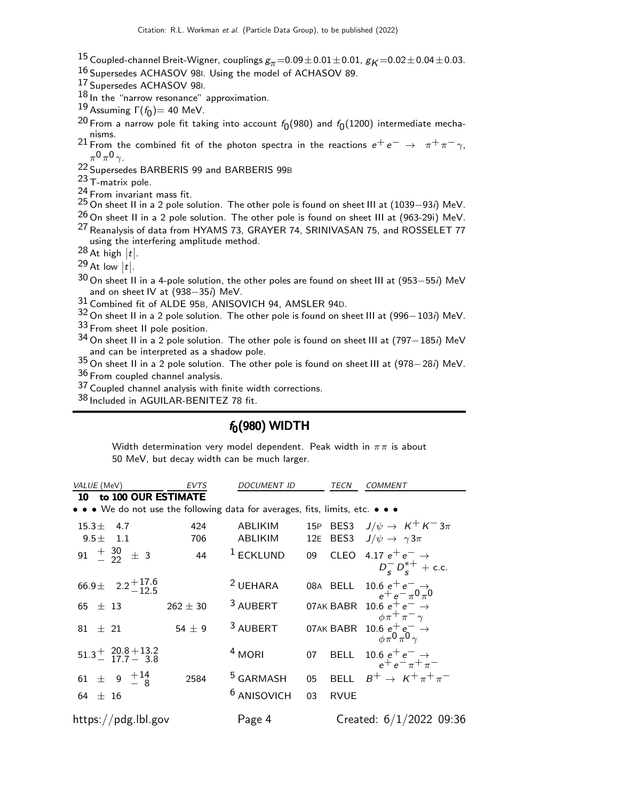- $^{15}$  Coupled-channel Breit-Wigner, couplings  $g_{\pi}{=}0.09\pm0.01\pm0.01$ ,  $g_{K}{=}0.02\pm0.04\pm0.03$ .
- 16 Supersedes ACHASOV 98I. Using the model of ACHASOV 89.
- 17 Supersedes ACHASOV 98I.
- $18$  In the "narrow resonance" approximation.
- $19$  Assuming  $\Gamma(f_0) = 40$  MeV.
- $^{20}$  From a narrow pole fit taking into account  $f_{0}(980)$  and  $f_{0}(1200)$  intermediate mecha- $^{21}$  From the combined fit of the photon spectra in the reactions  $e^+ \, e^- \, \rightarrow \, \pi^+ \pi^- \, \gamma,$
- $\pi^0 \pi^0 \gamma$ .
- 22 Supersedes BARBERIS 99 and BARBERIS 99B
- 23 T-matrix pole.
- $^{24}$  From invariant mass fit.
- 25 On sheet II in a 2 pole solution. The other pole is found on sheet III at (1039–93*i*) MeV.
- $^{26}$  On sheet II in a 2 pole solution. The other pole is found on sheet III at  $(963-29i)$  MeV.
- <sup>27</sup> Reanalysis of data from HYAMS 73, GRAYER 74, SRINIVASAN 75, and ROSSELET 77 using the interfering amplitude method.
- $28$  At high  $|t|$ .

 $\frac{29}{10}$  At low  $|t|$ .

- $30$  On sheet II in a 4-pole solution, the other poles are found on sheet III at (953−55*i*) MeV and on sheet IV at (938−35i) MeV.
- 31 Combined fit of ALDE 95B, ANISOVICH 94, AMSLER 94D.
- 32 On sheet II in a 2 pole solution. The other pole is found on sheet III at (996−103i) MeV.
- 33 From sheet II pole position.
- 34 On sheet II in a 2 pole solution. The other pole is found on sheet III at (797−185i) MeV and can be interpreted as a shadow pole.
- $^{35}$  On sheet II in a 2 pole solution. The other pole is found on sheet III at (978 $-$  28*i*) MeV. 36 From coupled channel analysis.
- 37 Coupled channel analysis with finite width corrections.
- 38 Included in AGUILAR-BENITEZ 78 fit.

### $f_0(980)$  WIDTH

Width determination very model dependent. Peak width in  $\pi \pi$  is about 50 MeV, but decay width can be much larger.

| <i>VALUE</i> (MeV)                                                            | EVTS         | <b>DOCUMENT ID</b>     |     | TECN        | <b>COMMENT</b>                                                                 |
|-------------------------------------------------------------------------------|--------------|------------------------|-----|-------------|--------------------------------------------------------------------------------|
| to 100 OUR ESTIMATE<br>10                                                     |              |                        |     |             |                                                                                |
| • • • We do not use the following data for averages, fits, limits, etc. • • • |              |                        |     |             |                                                                                |
| 15.3 $\pm$<br>4.7                                                             | 424          | ABLIKIM                |     | 15P BES3    | $J/\psi \rightarrow K^+ K^- 3\pi$                                              |
| $9.5 \pm 1.1$                                                                 | 706          | ABLIKIM                | 12E |             | BES3 $J/\psi \rightarrow \gamma 3\pi$                                          |
| 91 $\frac{+}{-}$ 30 $\pm$ 3                                                   | 44           | $1$ ECKLUND            | 09  |             | CLEO 4.17 $e^+e^- \rightarrow$                                                 |
|                                                                               |              |                        |     |             | $D_s^{-} D_s^{*+}$ + c.c.                                                      |
| $66.9\pm$ 2.2 <sup>+17.6</sup>                                                |              | <sup>2</sup> UEHARA    |     | 08A BELL    | 10.6 $e^+e^ \rightarrow$<br>$e^+e^ \pi^0\pi^0$                                 |
| 65 $\pm$ 13                                                                   | $262 \pm 30$ | <sup>3</sup> AUBERT    |     |             | 07AK BABR 10.6 $e^+e^- \rightarrow$                                            |
|                                                                               |              |                        |     |             | $\phi \pi^+ \pi^- \gamma$                                                      |
| $81 \pm 21$                                                                   | 54 $\pm$ 9   | <sup>3</sup> AUBERT    |     |             | 07AK BABR 10.6 $e^+e^ \rightarrow$ $\phi_\pi 0 \frac{\partial}{\partial \phi}$ |
|                                                                               |              |                        |     |             |                                                                                |
| $51.3^{+20.8+13.2}_{-17.7-3.8}$                                               |              | $4$ MORI               | 07  |             | BELL 10.6 $e^+e^- \rightarrow$<br>$e^+e^-\pi^+\pi^-$                           |
| 61 $\pm$ 9 $\frac{+14}{-8}$                                                   | 2584         | <sup>5</sup> GARMASH   | 05  | <b>BELL</b> | $B^+ \rightarrow K^+ \pi^+ \pi^-$                                              |
|                                                                               |              | <sup>6</sup> ANISOVICH |     |             |                                                                                |
| 64 $\pm$ 16                                                                   |              |                        | 03  | <b>RVUE</b> |                                                                                |
| https://pdg.lbl.gov                                                           |              | Page 4                 |     |             | Created: $6/1/2022$ 09:36                                                      |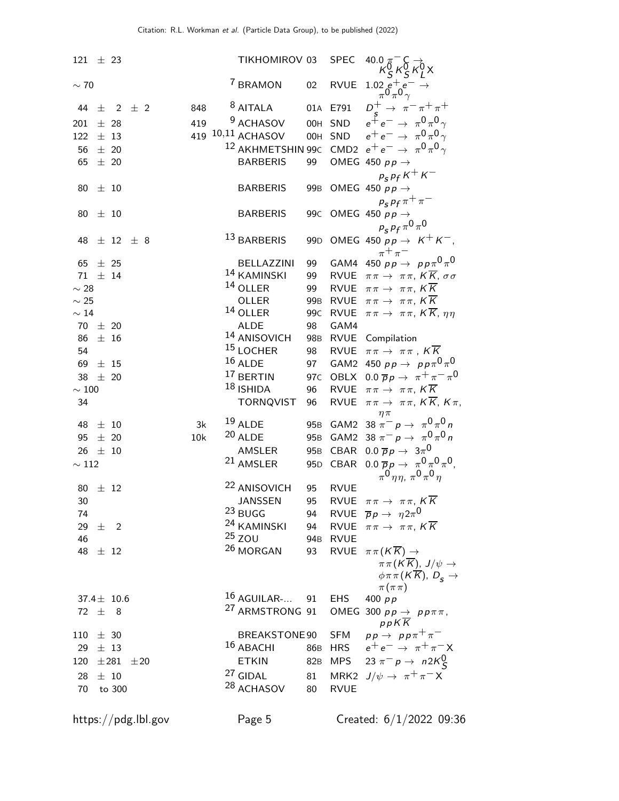| $121 \pm 23$  |          |                  |          |     | TIKHOMIROV 03                 |                 | <b>SPEC</b> | 40.0 $\pi^-$                                                               |
|---------------|----------|------------------|----------|-----|-------------------------------|-----------------|-------------|----------------------------------------------------------------------------|
| $\sim$ 70     |          |                  |          |     | <sup>7</sup> BRAMON           | 02              | <b>RVUE</b> | $\begin{array}{c} 1.02\,e^+\,e^-\rightarrow\\ \pi^0\pi^0\gamma\end{array}$ |
| 44            |          | $\pm$ 2 $\pm$ 2  |          | 848 | $8$ AITALA                    |                 | 01A E791    | $D^+$ $\rightarrow \pi^- \pi^+ \pi^+$                                      |
| 201           |          | $\pm$ 28         |          | 419 | <sup>9</sup> ACHASOV          |                 | OOH SND     | $e^{\tilde{+}}e^- \rightarrow \pi^0 \pi^0 \gamma$                          |
| 122           | $\pm$ 13 |                  |          |     | 419 <sup>10,11</sup> ACHASOV  |                 |             | 00H SND $e^+e^- \rightarrow \pi^0 \pi^0 \gamma$                            |
| 56            | $\pm$ 20 |                  |          |     |                               |                 |             | <sup>12</sup> AKHMETSHIN 99C CMD2 $e^+e^- \rightarrow \pi^0 \pi^0 \gamma$  |
| 65            |          | $\pm$ 20         |          |     | <b>BARBERIS</b>               | 99              |             | OMEG 450 $pp \rightarrow$                                                  |
|               |          |                  |          |     |                               |                 |             | $p_S^{\vphantom{\dagger}} p_f^{\vphantom{\dagger}} K^+ K^-$                |
| 80            | $\pm$ 10 |                  |          |     | <b>BARBERIS</b>               |                 |             | 99B OMEG 450 $pp \rightarrow$                                              |
|               |          |                  |          |     |                               |                 |             | $p_s p_f \pi^+ \pi^-$                                                      |
| 80            | $\pm$ 10 |                  |          |     | <b>BARBERIS</b>               |                 |             | 99C OMEG 450 $pp \rightarrow$                                              |
|               |          |                  |          |     |                               |                 |             | $p_s p_f \pi^0 \pi^0$                                                      |
|               |          |                  |          |     | 13 BARBERIS                   |                 |             |                                                                            |
| 48            |          | $\pm$ 12 $\pm$ 8 |          |     |                               |                 |             | 99D OMEG 450 $pp \rightarrow K^+ K^-$ ,                                    |
| 65            | $\pm$ 25 |                  |          |     | BELLAZZINI                    | 99              |             | $\pi^+\pi^-$<br>GAM4 450 $pp \rightarrow pp \pi^0 \pi^0$                   |
| $71 \pm 14$   |          |                  |          |     | 14 KAMINSKI                   | 99              |             | RVUE $\pi \pi \rightarrow \pi \pi$ , $K \overline{K}$ , $\sigma \sigma$    |
| $\sim 28$     |          |                  |          |     | $14$ OLLER                    | 99              |             | RVUE $\pi \pi \rightarrow \pi \pi$ , $K \overline{K}$                      |
| $\sim 25$     |          |                  |          |     | OLLER                         |                 |             | 99B RVUE $\pi \pi \rightarrow \pi \pi$ , $K \overline{K}$                  |
| $\sim 14$     |          |                  |          |     | $14$ OLLER                    | 99 <sub>C</sub> | <b>RVUE</b> | $\pi\pi \to \pi\pi$ , $K\overline{K}$ , $\eta\eta$                         |
| $70 \pm 20$   |          |                  |          |     | ALDE                          | 98              | GAM4        |                                                                            |
| 86            |          | $±$ 16           |          |     | <sup>14</sup> ANISOVICH       |                 |             | 98B RVUE Compilation                                                       |
| 54            |          |                  |          |     | <sup>15</sup> LOCHER          | 98              |             | RVUE $\pi \pi \rightarrow \pi \pi$ , $K \overline{K}$                      |
| 69            | $\pm$ 15 |                  |          |     | $^{16}$ ALDE                  | 97              |             | GAM2 450 $pp \rightarrow pp \pi^0 \pi^0$                                   |
| 38 $\pm$ 20   |          |                  |          |     | $^{17}$ BERTIN                | 97 <sub>C</sub> |             | OBLX 0.0 $\overline{p}p \rightarrow \pi^+\pi^-\pi^0$                       |
| $\sim 100$    |          |                  |          |     | $18$ ISHIDA                   | 96              |             | RVUE $\pi \pi \rightarrow \pi \pi$ , $K \overline{K}$                      |
| 34            |          |                  |          |     | <b>TORNQVIST</b>              | 96              | RVUE        | $\pi\pi\to \pi\pi$ , $K\overline{K}$ , $K\pi$ ,                            |
|               |          |                  |          |     |                               |                 |             | $\eta \pi$                                                                 |
| 48            | $\pm$ 10 |                  |          | 3k  | $19$ ALDE                     |                 |             | 95B GAM2 38 $\pi^- p \to \pi^0 \pi^0 n$                                    |
| 95            |          | ± 20             |          | 10k | $20$ ALDE                     |                 |             | 95B GAM2 38 $\pi^- p \to \pi^0 \pi^0 n$                                    |
| $26 \pm 10$   |          |                  |          |     | AMSLER                        |                 | 95B CBAR    | 0.0 $\overline{p}p \rightarrow 3\pi^0$                                     |
| $\sim 112$    |          |                  |          |     | <sup>21</sup> AMSLER          |                 |             | 95D CBAR 0.0 $\overline{p}p \rightarrow \pi^0 \pi^0 \pi^0$ ,               |
|               |          |                  |          |     |                               |                 |             | $\pi^{0}$ $\eta \eta$ , $\pi^{0}$ $\pi^{0}$ $\eta$                         |
| 80            |          | $\pm$ 12         |          |     | <sup>22</sup> ANISOVICH       | 95              | <b>RVUE</b> |                                                                            |
| 30            |          |                  |          |     | <b>JANSSEN</b>                | 95              |             | RVUE $\pi \pi \rightarrow \pi \pi$ , $K \overline{K}$                      |
| 74            |          |                  |          |     | 23 BUGG                       |                 |             | 94 RVUE $\overline{p}p \rightarrow \eta 2\pi^{0}$                          |
| 29 $\pm$ 2    |          |                  |          |     | <sup>24</sup> KAMINSKI        | 94              |             | RVUE $\pi \pi \rightarrow \pi \pi$ , $K \overline{K}$                      |
| 46            |          |                  |          |     | $25$ ZOU                      |                 | 94B RVUE    |                                                                            |
| 48 $\pm$ 12   |          |                  |          |     | $26$ MORGAN                   | 93              | <b>RVUE</b> | $\pi\pi (K\overline{K})\rightarrow$                                        |
|               |          |                  |          |     |                               |                 |             | $\pi \pi (K \overline{K}), J/\psi \rightarrow$                             |
|               |          |                  |          |     |                               |                 |             | $\phi \pi \pi (K \overline{K}), D_{\overline{S}} \rightarrow$              |
|               |          |                  |          |     |                               |                 |             | $\pi(\pi\pi)$                                                              |
|               |          | 37.4 $\pm$ 10.6  |          |     | $16$ AGUILAR- 91 EHS          |                 |             | 400 $pp$                                                                   |
| 72 $\pm$ 8    |          |                  |          |     | <sup>27</sup> ARMSTRONG 91    |                 |             | OMEG 300 $pp \rightarrow pp \pi \pi$ ,                                     |
|               |          |                  |          |     |                               |                 | <b>SFM</b>  | $p p K \overline{K}$                                                       |
| $110 \pm 30$  |          |                  |          |     | BREAKSTONE 90<br>$16$ ABACHI  |                 |             | $pp \rightarrow pp \pi^+ \pi^-$                                            |
| 29 $\pm$ 13   |          |                  |          |     |                               |                 |             | 86B HRS $e^+e^- \rightarrow \pi^+\pi^-X$                                   |
| $120 \pm 281$ |          |                  | $\pm 20$ |     | <b>ETKIN</b>                  |                 |             | 82B MPS 23 $\pi^{-} p \to n2K_S^0$                                         |
| 28 $\pm$ 10   |          |                  |          |     | $27$ GIDAL                    |                 |             | 81 MRK2 $J/\psi \rightarrow \pi^+\pi^- X$                                  |
| 70            |          | to 300           |          |     | <sup>28</sup> ACHASOV 80 RVUE |                 |             |                                                                            |
|               |          |                  |          |     |                               |                 |             |                                                                            |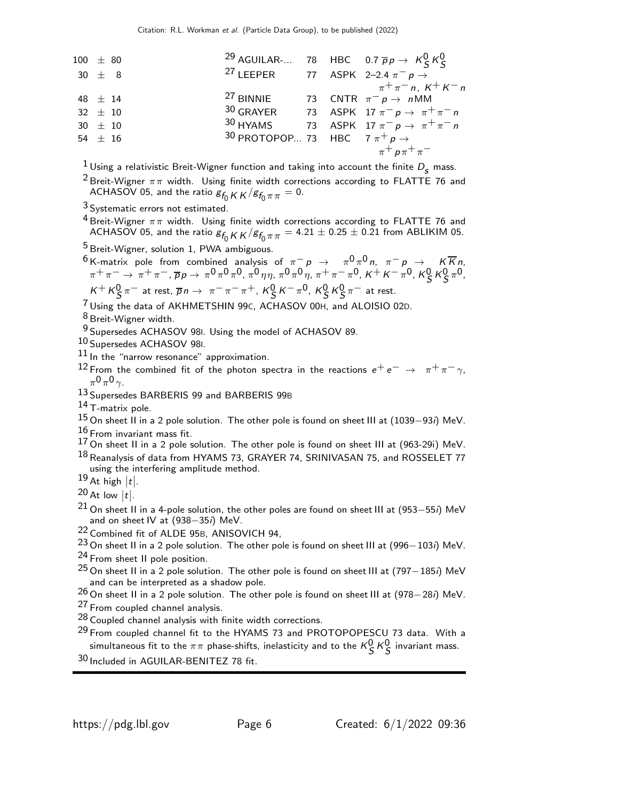| 100 $\pm$ 80          | 29                    | AGUILAR.... | 78 | HBC  | 0.7                       | $\overline{p}p \rightarrow K^0_S K^0_S$ |
|-----------------------|-----------------------|-------------|----|------|---------------------------|-----------------------------------------|
| 30 $\pm$ 8            | 27                    | LEEPER      | 77 | ASPK | 2-2.4                     | $\pi^- p \rightarrow$                   |
| 48 $\pm$ 14           | 27                    | BINIIE      | 73 | CNTR | $\pi^- p \rightarrow nMM$ |                                         |
| 32 $\pm$ 10           | 30                    | GRAYER      | 73 | ASPK | 17                        | $\pi^- p \rightarrow \pi^+ \pi^- n$     |
| 30 $\pm$ 10           | 30                    | HYAMS       | 73 | ASPK | 17                        | $\pi^- p \rightarrow \pi^+ \pi^- n$     |
| 54 $\pm$ 16           | 30                    | PROTOPOP... | 73 | HBC  | $7 \pi^+ p \rightarrow$   |                                         |
| $\pi^+ p \pi^+ \pi^-$ | $\pi^+ p \pi^+ \pi^-$ |             |    |      |                           |                                         |

<sup>1</sup> Using a relativistic Breit-Wigner function and taking into account the finite  $D_s$  mass.

<sup>2</sup> Breit-Wigner  $\pi\pi$  width. Using finite width corrections according to FLATTE 76 and ACHASOV 05, and the ratio  $g_{f_0 K K} / g_{f_0 \pi \pi} = 0$ .

 $3$  Systematic errors not estimated.

 $4$  Breit-Wigner  $\pi\pi$  width. Using finite width corrections according to FLATTE 76 and ACHASOV 05, and the ratio  $g_{f_0 K K}$  / $g_{f_0 \pi \pi}$  = 4.21  $\pm$  0.25  $\pm$  0.21 from ABLIKIM 05.

5 Breit-Wigner, solution 1, PWA ambiguous.

 $6$  K-matrix pole from combined analysis of  $\pi^- p \to \pi^0 \pi^0 n$ ,  $\pi^- p \to K \overline{K} n$ ,  $\pi^+ \pi^- \to \pi^+ \pi^-, \overline{\rho}_{\mathcal{P}} \to \pi^0 \pi^0 \pi^0, \pi^0 \eta \eta, \pi^0 \pi^0 \eta, \pi^+ \pi^- \pi^0, \kappa^+ \kappa^- \pi^0, \kappa^0_\mathcal{S} \kappa^0_\mathcal{S} \pi^0,$  $K^+ K^0_S \pi^-$  at rest,  $\overline{p} n \to \pi^- \pi^- \pi^+$ ,  $K^0_S K^- \pi^0$ ,  $K^0_S K^0_S \pi^-$  at rest.

7 Using the data of AKHMETSHIN 99C, ACHASOV 00H, and ALOISIO 02D.

8 Breit-Wigner width.

9 Supersedes ACHASOV 98I. Using the model of ACHASOV 89.

10 Supersedes ACHASOV 98I.

11 In the "narrow resonance" approximation.

<sup>12</sup> From the combined fit of the photon spectra in the reactions  $e^+e^- \rightarrow \pi^+\pi^-\gamma$ ,  $\pi^0 \pi^0 \gamma$ .

13 Supersedes BARBERIS 99 and BARBERIS 99<sup>B</sup>

 $14$  T-matrix pole.

- 15 On sheet II in a 2 pole solution. The other pole is found on sheet III at (1039−93i) MeV.
- $16/16$  From invariant mass fit.
- $17$  On sheet II in a 2 pole solution. The other pole is found on sheet III at (963-29i) MeV. 18 Reanalysis of data from HYAMS 73, GRAYER 74, SRINIVASAN 75, and ROSSELET 77 using the interfering amplitude method.
- $\frac{19}{19}$  At high  $|t|$ .
- $\frac{20}{10}$  At low  $|t|$ .
- $21$  On sheet II in a 4-pole solution, the other poles are found on sheet III at (953−55*i*) MeV and on sheet IV at (938−35i) MeV.

22 Combined fit of ALDE 95B, ANISOVICH 94,

23 On sheet II in a 2 pole solution. The other pole is found on sheet III at (996−103*i*) MeV.

 $24$  From sheet II pole position.

<sup>25</sup> On sheet II in a 2 pole solution. The other pole is found on sheet III at (797–185*i*) MeV and can be interpreted as a shadow pole.

26 On sheet II in a 2 pole solution. The other pole is found on sheet III at (978−28i) MeV. 27 From coupled channel analysis.

- 28 Coupled channel analysis with finite width corrections.
- 29 From coupled channel fit to the HYAMS 73 and PROTOPOPESCU 73 data. With a simultaneous fit to the  $\pi\pi$  phase-shifts, inelasticity and to the  $\kappa_S^0\,\kappa_S^0$  invariant mass.
- 30 Included in AGUILAR-BENITEZ 78 fit.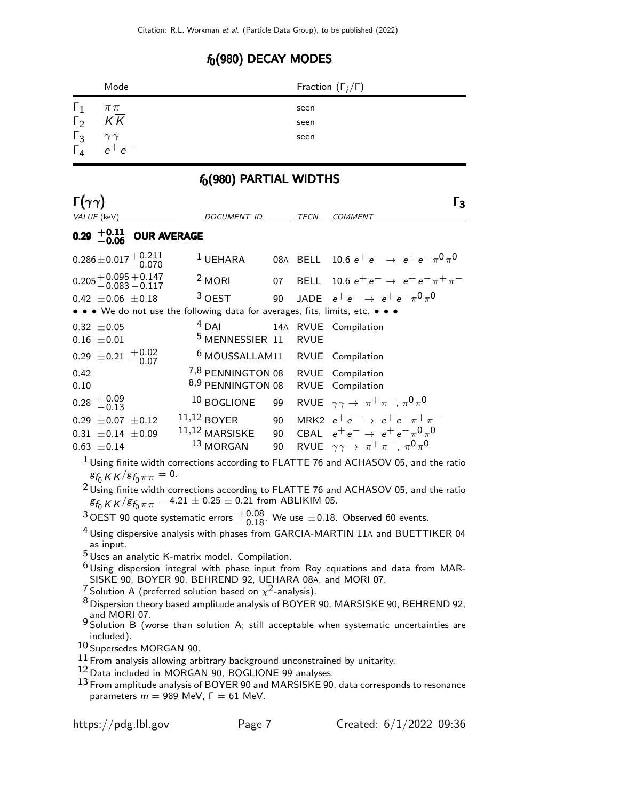# $f_0(980)$  DECAY MODES

|                        | Mode                                               |                                                                                 |    |             | Fraction $(\Gamma_i/\Gamma)$                                                                             |
|------------------------|----------------------------------------------------|---------------------------------------------------------------------------------|----|-------------|----------------------------------------------------------------------------------------------------------|
| $\Gamma_1$             | $\pi\,\pi$                                         |                                                                                 |    | seen        |                                                                                                          |
| $\Gamma_2$             | K K                                                |                                                                                 |    | seen        |                                                                                                          |
| $\Gamma_3$             | $\gamma\gamma$                                     |                                                                                 |    | seen        |                                                                                                          |
| $\Gamma_4$             | $e^+e^-$                                           |                                                                                 |    |             |                                                                                                          |
|                        |                                                    | $f_0(980)$ PARTIAL WIDTHS                                                       |    |             |                                                                                                          |
| $\Gamma(\gamma\gamma)$ |                                                    |                                                                                 |    |             | $\Gamma_3$                                                                                               |
|                        | VALUE (keV)                                        | DOCUMENT ID                                                                     |    | TECN        | <i>COMMENT</i>                                                                                           |
|                        | $0.29^{+0.11}_{-0.06}$<br><b>OUR AVERAGE</b>       |                                                                                 |    |             |                                                                                                          |
|                        |                                                    |                                                                                 |    |             |                                                                                                          |
|                        | $0.286 \pm 0.017 \, {+ 0.211 \atop - 0.070}$       | <sup>1</sup> UEHARA                                                             |    |             | 08A BELL 10.6 $e^+e^- \rightarrow e^+e^- \pi^0 \pi^0$                                                    |
|                        | $0.205 + 0.095 + 0.147$<br>-0.083 -0.117           | $2$ MORI                                                                        | 07 |             | BELL 10.6 $e^+e^- \rightarrow e^+e^- \pi^+\pi^-$                                                         |
|                        | $0.42 \pm 0.06 \pm 0.18$                           | $3$ OFST                                                                        | 90 |             | JADE $e^+e^- \rightarrow e^+e^- \pi^0 \pi^0$                                                             |
|                        |                                                    | • • • We do not use the following data for averages, fits, limits, etc. • • •   |    |             |                                                                                                          |
|                        | $0.32 \pm 0.05$                                    | $4$ DAI                                                                         |    |             | 14A RVUE Compilation                                                                                     |
|                        | $0.16 \pm 0.01$                                    | <sup>5</sup> MENNESSIER 11                                                      |    | <b>RVUE</b> |                                                                                                          |
|                        | $0.29 \pm 0.21 + 0.02$<br>-0.07                    | <sup>6</sup> MOUSSALLAM11                                                       |    |             | <b>RVUE</b> Compilation                                                                                  |
| 0.42                   |                                                    | 7,8 PENNINGTON 08                                                               |    |             | RVUE Compilation                                                                                         |
| 0.10                   |                                                    | 8,9 PENNINGTON 08                                                               |    |             | RVUE Compilation                                                                                         |
|                        | $0.28 \begin{array}{c} +0.09 \\ -0.13 \end{array}$ | 10 BOGLIONE                                                                     | 99 |             | RVUE $\gamma \gamma \rightarrow \pi^+ \pi^-$ , $\pi^0 \pi^0$                                             |
|                        | $0.29 \pm 0.07 \pm 0.12$                           | $11,12$ BOYER                                                                   | 90 |             | MRK2 $e^+e^- \rightarrow e^+e^- \pi^+\pi^-$                                                              |
|                        | $0.31 \pm 0.14 \pm 0.09$                           | $11,12$ MARSISKE                                                                | 90 |             | CBAL $e^+e^- \rightarrow e^+e^- \pi^0 \pi^0$                                                             |
|                        | $0.63 \pm 0.14$                                    | $^{13}$ MORGAN                                                                  | 90 |             | RVUE $\gamma \gamma \rightarrow \pi^+ \pi^-$ , $\pi^0 \pi^0$                                             |
|                        |                                                    |                                                                                 |    |             | <sup>1</sup> Using finite width corrections according to FLATTE 76 and ACHASOV 05, and the ratio         |
|                        | $g_{f_0 K K}/g_{f_0 \pi \pi} = 0.$                 |                                                                                 |    |             |                                                                                                          |
|                        |                                                    |                                                                                 |    |             | $2$ Using finite width corrections according to FLATTE 76 and ACHASOV 05, and the ratio                  |
|                        |                                                    | $g_{f_0}$ K K $/g_{f_0 \pi \pi}$ = 4.21 $\pm$ 0.25 $\pm$ 0.21 from ABLIKIM 05.  |    |             |                                                                                                          |
|                        |                                                    |                                                                                 |    |             | <sup>3</sup> OEST 90 quote systematic errors $^{+0.08}_{-0.18}$ . We use $\pm$ 0.18. Observed 60 events. |
|                        | as input.                                          |                                                                                 |    |             | $^4$ Using dispersive analysis with phases from GARCIA-MARTIN 11A and BUETTIKER 04                       |
|                        |                                                    | $5$ Uses an analytic K-matrix model. Compilation.                               |    |             |                                                                                                          |
|                        |                                                    |                                                                                 |    |             | $6$ Using dispersion integral with phase input from Roy equations and data from MAR-                     |
|                        |                                                    | SISKE 90, BOYER 90, BEHREND 92, UEHARA 08A, and MORI 07.                        |    |             |                                                                                                          |
|                        |                                                    | <sup>7</sup> Solution A (preferred solution based on $\chi^2$ -analysis).       |    |             | $8$ Dispersion theory based amplitude analysis of BOYER 90, MARSISKE 90, BEHREND 92,                     |
|                        | and MORI 07.                                       |                                                                                 |    |             |                                                                                                          |
|                        |                                                    |                                                                                 |    |             | 9 Solution B (worse than solution A; still acceptable when systematic uncertainties are                  |
|                        | included).                                         |                                                                                 |    |             |                                                                                                          |
|                        | 10 Supersedes MORGAN 90.                           | $^{11}$ From analysis allowing arbitrary background unconstrained by unitarity. |    |             |                                                                                                          |
|                        |                                                    |                                                                                 |    |             |                                                                                                          |

- 12 Data included in MORGAN 90, BOGLIONE 99 analyses.
- $13$  From amplitude analysis of BOYER 90 and MARSISKE 90, data corresponds to resonance parameters  $m = 989$  MeV,  $\Gamma = 61$  MeV.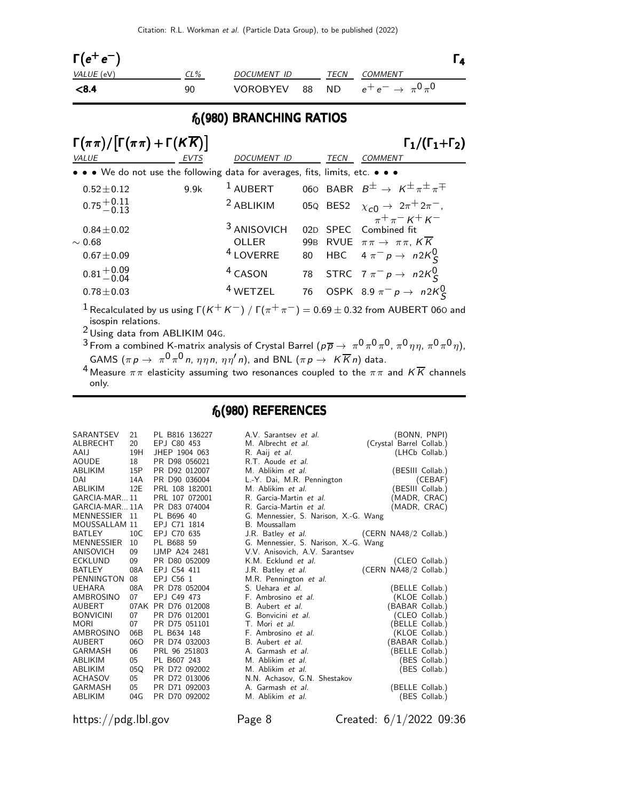| $\Gamma(e^+e^-)$  |        |             |      |                                                 |  |
|-------------------|--------|-------------|------|-------------------------------------------------|--|
| <i>VALUE</i> (eV) | $CL\%$ | DOCUMENT ID | TECN | COMMENT                                         |  |
| < 8.4             | 90     |             |      | VOROBYEV 88 ND $e^+e^- \rightarrow \pi^0 \pi^0$ |  |

#### $f_0(980)$  BRANCHING RATIOS

| $\Gamma(\pi\pi)/[\Gamma(\pi\pi)+\Gamma(K\overline{K})]$                       |      |                        |    |             | $\Gamma_1/(\Gamma_1+\Gamma_2)$                                                                           |
|-------------------------------------------------------------------------------|------|------------------------|----|-------------|----------------------------------------------------------------------------------------------------------|
| VALUE                                                                         | EVTS | <b>DOCUMENT ID</b>     |    | <b>TECN</b> | <b>COMMENT</b>                                                                                           |
| • • • We do not use the following data for averages, fits, limits, etc. • • • |      |                        |    |             |                                                                                                          |
| $0.52 \pm 0.12$                                                               | 9.9k | $1$ AUBERT             |    |             | 060 BABR $B^{\pm} \rightarrow K^{\pm} \pi^{\pm} \pi^{\mp}$                                               |
| $0.75 + 0.11$<br>$-0.13$                                                      |      | <sup>2</sup> ABLIKIM   |    |             | 05Q BES2 $\chi_{c0} \to 2\pi^+ 2\pi^-$ ,                                                                 |
| $0.84 \pm 0.02$                                                               |      | <sup>3</sup> ANISOVICH |    |             | $\int_{\pi^+ \pi^-}^{\infty} K^+ K^-$<br>02D SPEC Combined fit                                           |
| $\sim 0.68$                                                                   |      | <b>OLLER</b>           |    |             | 99B RVUE $\pi \pi \rightarrow \pi \pi$ , $K \overline{K}$                                                |
| $0.67 \pm 0.09$                                                               |      | <sup>4</sup> LOVERRE   | 80 |             | HBC $4 \pi^- p \rightarrow n2K_S^0$                                                                      |
| $0.81 + 0.09$<br>0.81 - 0.04                                                  |      | <sup>4</sup> CASON     |    |             | 78 STRC 7 $\pi^- p \to n 2K^0_S$                                                                         |
| $0.78 \pm 0.03$                                                               |      | $4$ WETZEL             |    |             | 76 OSPK 8.9 $\pi^- p \to n 2K_S^0$                                                                       |
|                                                                               |      |                        |    |             | $^{-1}$ Recalculated by us using $\Gamma(K^+K^-)$ / $\Gamma(\pi^+\pi^-)=0.69\pm0.32$ from AUBERT 060 and |

isospin relations.

 $2$  Using data from ABLIKIM 04G.

 $^3$  From a combined K-matrix analysis of Crystal Barrel ( $\rho \overline\rho\to\ \pi^0\pi^0\pi^0$  ,  $\pi^0\eta\eta$  ,  $\pi^0\pi^0\eta)$  , GAMS  $(\pi \, p \, \rightarrow \, \pi^0 \, \pi^0 \, n, \, \eta \, \eta \, n, \, \eta \, \eta' \, n)$ , and BNL  $(\pi \, p \, \rightarrow \, \, K \, \overline{K} \, n)$  data.

 $^4$  Measure  $\pi\pi$  elasticity assuming two resonances coupled to the  $\pi\pi$  and  $K\overline{K}$  channels only.

#### $f_0(980)$  REFERENCES

| SARANTSEV     | 21   | PL B816 136227       | A.V. Sarantsev et al.                 | (BONN, PNPI)             |  |
|---------------|------|----------------------|---------------------------------------|--------------------------|--|
| ALBRECHT      | 20   | EPJ C80 453          | M. Albrecht et al.                    | (Crystal Barrel Collab.) |  |
| AAIJ          | 19H  | JHEP 1904 063        | R. Aaij et al.                        | (LHCb Collab.)           |  |
| AOUDE         | 18   | PR D98 056021        | R.T. Aoude et al.                     |                          |  |
| ABLIKIM       | 15P  | PR D92 012007        | M. Ablikim et al.                     | (BESIII Collab.)         |  |
| DAI           | 14A  | PR D90 036004        | L.-Y. Dai, M.R. Pennington            | (CEBAF)                  |  |
| ABLIKIM       | 12E  | PRL 108 182001       | M. Ablikim et al.                     | (BESIII Collab.)         |  |
| GARCIA-MAR 11 |      | PRL 107 072001       | R. Garcia-Martin et al.               | (MADR, CRAC)             |  |
| GARCIA-MAR11A |      | PR D83 074004        | R. Garcia-Martin et al.               | (MADR, CRAC)             |  |
| MENNESSIER    | - 11 | PL B696 40           | G. Mennessier, S. Narison, X.-G. Wang |                          |  |
| MOUSSALLAM 11 |      | EPJ C71 1814         | B. Moussallam                         |                          |  |
| BATLEY        | 10C  | EPJ C70 635          | J.R. Batley <i>et al.</i>             | (CERN NA48/2 Collab.)    |  |
| MENNESSIER    | 10   | PL B688 59           | G. Mennessier, S. Narison, X.-G. Wang |                          |  |
| ANISOVICH     | 09   | <b>IJMP A24 2481</b> | V.V. Anisovich, A.V. Sarantsev        |                          |  |
| ECKLUND       | 09   | PR D80 052009        | K.M. Ecklund et al.                   | (CLEO Collab.)           |  |
| BATLEY        | 08A  | EPJ C54 411          | J.R. Batley et al.                    | (CERN NA48/2 Collab.)    |  |
| PENNINGTON 08 |      | EPJ C56 1            | M.R. Pennington et al.                |                          |  |
| UEHARA        | 08A  | PR D78 052004        | S. Uehara et al.                      | (BELLE Collab.)          |  |
| AMBROSINO     | 07   | EPJ C49 473          | F. Ambrosino et al.                   | (KLOE Collab.)           |  |
| AUBERT        |      | 07AK PR D76 012008   | B. Aubert et al.                      | (BABAR Collab.)          |  |
| BONVICINI     | 07   | PR D76 012001        | G. Bonvicini et al.                   | (CLEO Collab.)           |  |
| MORI          | 07   | PR D75 051101        | T. Mori et al.                        | (BELLE Collab.)          |  |
| AMBROSINO     | 06B  | PL B634 148          | F. Ambrosino et al.                   | (KLOE Collab.)           |  |
| AUBERT        | 060  | PR D74 032003        | B. Aubert et al.                      | (BABAR Collab.)          |  |
| GARMASH       | 06   | PRL 96 251803        | A. Garmash et al.                     | (BELLE Collab.)          |  |
| ABLIKIM       | 05   | PL B607 243          | M. Ablikim et al.                     | (BES Collab.)            |  |
| ABLIKIM       | 05Q  | PR D72 092002        | M. Ablikim et al.                     | (BES Collab.)            |  |
| ACHASOV       | 05   | PR D72 013006        | N.N. Achasov, G.N. Shestakov          |                          |  |
| GARMASH       | 05   | PR D71 092003        | A. Garmash et al.                     | (BELLE Collab.)          |  |
| ABLIKIM       | 04G  | PR D70 092002        | M. Ablikim et al.                     | (BES Collab.)            |  |
|               |      |                      |                                       |                          |  |

https://pdg.lbl.gov Page 8 Created: 6/1/2022 09:36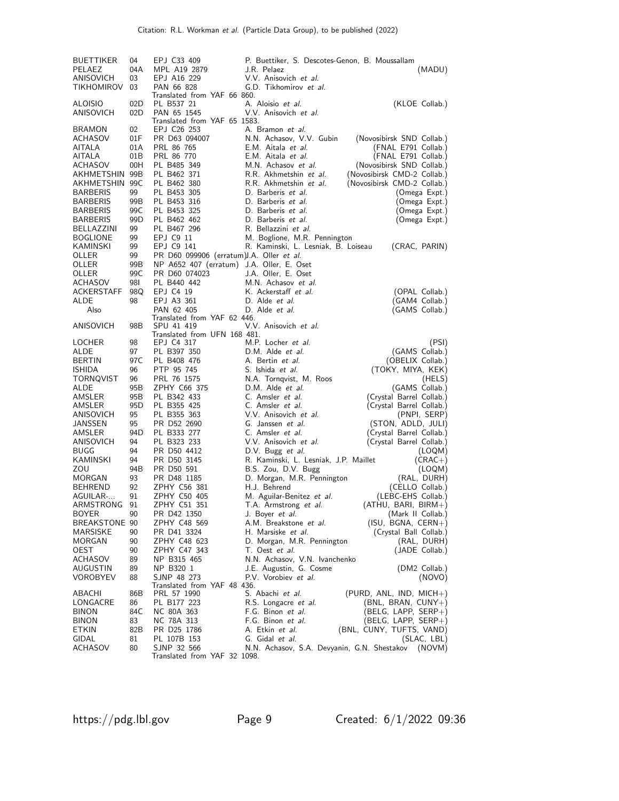| <b>BUETTIKER</b>         | 04        | EPJ C33 409                                | P. Buettiker, S. Descotes-Genon, B. Moussallam |                                                |
|--------------------------|-----------|--------------------------------------------|------------------------------------------------|------------------------------------------------|
| PELAEZ                   | 04A       | MPL A19 2879                               | J.R. Pelaez                                    | (MADU)                                         |
| ANISOVICH                | 03        | EPJ A16 229                                | V.V. Anisovich et al.                          |                                                |
| TIKHOMIROV               | 03        | PAN 66 828                                 | G.D. Tikhomirov et al.                         |                                                |
|                          |           | Translated from YAF 66 860.                |                                                |                                                |
| ALOISIO                  | 02D       | PL B537 21                                 | A. Aloisio et al.                              | (KLOE Collab.)                                 |
| ANISOVICH                | 02D       | PAN 65 1545                                | V.V. Anisovich et al.                          |                                                |
|                          |           | Translated from YAF 65 1583.               |                                                |                                                |
| <b>BRAMON</b><br>ACHASOV | 02<br>01F | EPJ C26 253<br>PR D63 094007               | A. Bramon et al.<br>N.N. Achasov, V.V. Gubin   | (Novosibirsk SND Collab.)                      |
| AITALA                   | 01A       | PRL 86 765                                 | E.M. Aitala et al.                             | (FNAL E791 Collab.)                            |
| AITALA                   | 01B       | PRL 86 770                                 | E.M. Aitala et al.                             | (FNAL E791 Collab.)                            |
| ACHASOV                  | 00H       | PL B485 349                                | M.N. Achasov et al.                            | (Novosibirsk SND Collab.)                      |
| AKHMETSHIN 99B           |           | PL B462 371                                | R.R. Akhmetshin et al.                         | (Novosibirsk CMD-2 Collab.)                    |
| AKHMETSHIN 99C           |           | PL B462 380                                | R.R. Akhmetshin et al.                         | (Novosibirsk CMD-2 Collab.)                    |
| <b>BARBERIS</b>          | 99        | PL B453 305                                | D. Barberis et al.                             | (Omega Expt.)                                  |
| <b>BARBERIS</b>          | 99B       | PL B453 316                                | D. Barberis et al.                             | (Omega Expt.)                                  |
| <b>BARBERIS</b>          | 99C       | PL B453 325                                | D. Barberis et al.                             | (Omega Expt.)                                  |
| <b>BARBERIS</b>          | 99D       | PL B462 462                                | D. Barberis et al.                             | (Omega Expt.)                                  |
| BELLAZZINI               | 99        | PL B467 296                                | R. Bellazzini et al.                           |                                                |
| <b>BOGLIONE</b>          | 99        | EPJ C9 11                                  | M. Boglione, M.R. Pennington                   |                                                |
| KAMINSKI                 | 99        | EPJ C9 141                                 | R. Kaminski, L. Lesniak, B. Loiseau            | (CRAC, PARIN)                                  |
| OLLER                    | 99        | PR D60 099906 (erratum) J.A. Oller et al.  |                                                |                                                |
| OLLER                    | 99B       | NP A652 407 (erratum) J.A. Oller, E. Oset  |                                                |                                                |
| OLLER                    | 99C       | PR D60 074023                              | J.A. Oller, E. Oset                            |                                                |
| ACHASOV                  | 98I       | PL B440 442                                | M.N. Achasov et al.                            |                                                |
| ACKERSTAFF<br>ALDE       | 98Q<br>98 | EPJ C4 19                                  | K. Ackerstaff et al.<br>D. Alde <i>et al.</i>  | (OPAL Collab.)<br>(GAM4 Collab.)               |
| Also                     |           | EPJ A3 361<br>PAN 62 405                   | D. Alde et al.                                 | (GAMS Collab.)                                 |
|                          |           | Translated from YAF 62 446.                |                                                |                                                |
| ANISOVICH                | 98B       | SPU 41 419                                 | V.V. Anisovich et al.                          |                                                |
|                          |           | Translated from UFN 168 481.               |                                                |                                                |
| LOCHER                   | 98        | EPJ C4 317                                 | M.P. Locher et al.                             | (PSI)                                          |
| ALDE                     | 97        | PL B397 350                                | D.M. Alde et al.                               | (GAMS Collab.)                                 |
| <b>BERTIN</b>            | 97 C      | PL B408 476                                | A. Bertin et al.                               | (OBELIX Collab.)                               |
| ISHIDA                   | 96        | PTP 95 745                                 | S. Ishida <i>et al.</i>                        | (TOKY, MIYA, KEK)                              |
| TORNQVIST                | 96        | PRL 76 1575                                | N.A. Tornqvist, M. Roos                        | (HELS)                                         |
| ALDE                     | 95B       | ZPHY C66 375                               | D.M. Alde <i>et al.</i>                        | (GAMS Collab.)                                 |
| AMSLER                   | 95B       | PL B342 433                                | C. Amsler et al.                               | (Crystal Barrel Collab.)                       |
| AMSLER                   | 95D       | PL B355 425                                | C. Amsler et al.                               | (Crystal Barrel Collab.)                       |
| ANISOVICH<br>JANSSEN     | 95<br>95  | PL B355 363<br>PR D52 2690                 | V.V. Anisovich et al.<br>G. Janssen et al.     | (PNPI, SERP)                                   |
| AMSLER                   | 94D       | PL B333 277                                | C. Amsler et al.                               | (STON, ADLD, JULI)<br>(Crystal Barrel Collab.) |
| ANISOVICH                | 94        | PL B323 233                                | V.V. Anisovich et al.                          | (Crystal Barrel Collab.)                       |
| <b>BUGG</b>              | 94        | PR D50 4412                                | D.V. Bugg et al.                               | (LOQM)                                         |
| KAMINSKI                 | 94        | PR D50 3145                                | R. Kaminski, L. Lesniak, J.P. Maillet          | $(CRAC+)$                                      |
| zou                      | 94B       | PR D50 591                                 | B.S. Zou, D.V. Bugg                            | (LOQM)                                         |
| MORGAN                   | 93        | PR D48 1185                                | D. Morgan, M.R. Pennington                     | (RAL, DURH)                                    |
| BEHREND                  | 92        | ZPHY C56 381                               | H.J. Behrend                                   | (CELLO Collab.)                                |
| AGUILAR-                 | 91        | ZPHY C50 405                               | M. Aguilar-Benitez et al.                      | (LEBC-EHS Collab.)                             |
| ARMSTRONG                | 91        | ZPHY C51 351                               | T.A. Armstrong et al.                          | (ATHU, BARI, BIRM+)                            |
| <b>BOYER</b>             | 90        | PR D42 1350                                | J. Boyer et al.                                | (Mark II Collab.)                              |
| BREAKSTONE 90            |           | ZPHY C48 569                               | A.M. Breakstone et al.                         | $(ISU, BGNA, CERN+)$                           |
| MARSISKE                 | 90        | PR D41 3324                                | H. Marsiske <i>et al.</i>                      | (Crystal Ball Collab.)                         |
| MORGAN                   | 90        | ZPHY C48 623                               | D. Morgan, M.R. Pennington                     | (RAL, DURH)                                    |
| OEST                     | 90        | ZPHY C47 343                               | T. Oest et al.                                 | (JADE Collab.)                                 |
| ACHASOV                  | 89        | NP B315 465                                | N.N. Achasov, V.N. Ivanchenko                  |                                                |
| AUGUSTIN                 | 89        | NP B320 1                                  | J.E. Augustin, G. Cosme                        | (DM2 Collab.)                                  |
| VOROBYEV                 | 88        | SJNP 48 273<br>Translated from YAF 48 436. | P.V. Vorobiev et al.                           | (NOVO)                                         |
| ABACHI                   | 86B       | PRL 57 1990                                | S. Abachi et al.                               | $(PURD, ANL, IND, MICH+)$                      |
| LONGACRE                 | 86        | PL B177 223                                | R.S. Longacre et al.                           | (BNL, BRAN, CUNY+)                             |
| <b>BINON</b>             | 84C       | NC 80A 363                                 | F.G. Binon et al.                              | (BELG, LAPP, SERP+)                            |
| <b>BINON</b>             | 83        | NC 78A 313                                 | F.G. Binon et al.                              | $(BELG, LAPP, SERP+)$                          |
| ETKIN                    | 82B       | PR D25 1786                                | A. Etkin <i>et al.</i>                         | (BNL, CUNY, TUFTS, VAND)                       |
| GIDAL                    | 81        | PL 107B 153                                | G. Gidal et al.                                | (SLAC, LBL)                                    |
| ACHASOV                  | 80        | SJNP 32 566                                | N.N. Achasov, S.A. Devyanin, G.N. Shestakov    | (NOVM)                                         |
|                          |           | Translated from YAF 32 1098.               |                                                |                                                |